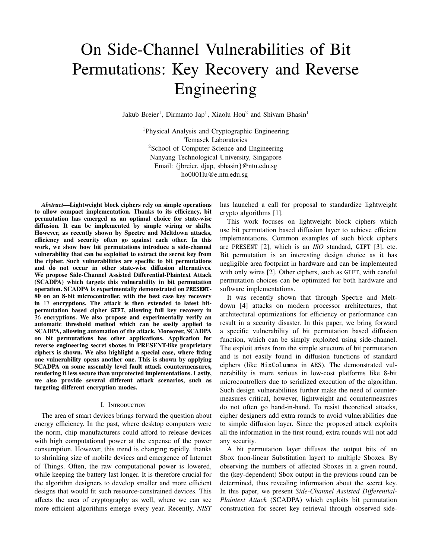# On Side-Channel Vulnerabilities of Bit Permutations: Key Recovery and Reverse Engineering

Jakub Breier<sup>1</sup>, Dirmanto Jap<sup>1</sup>, Xiaolu Hou<sup>2</sup> and Shivam Bhasin<sup>1</sup>

<sup>1</sup>Physical Analysis and Cryptographic Engineering Temasek Laboratories <sup>2</sup>School of Computer Science and Engineering Nanyang Technological University, Singapore Email: {jbreier, djap, sbhasin}@ntu.edu.sg ho0001lu@e.ntu.edu.sg

*Abstract*—Lightweight block ciphers rely on simple operations to allow compact implementation. Thanks to its efficiency, bit permutation has emerged as an optimal choice for state-wise diffusion. It can be implemented by simple wiring or shifts. However, as recently shown by Spectre and Meltdown attacks, efficiency and security often go against each other. In this work, we show how bit permutations introduce a side-channel vulnerability that can be exploited to extract the secret key from the cipher. Such vulnerabilities are specific to bit permutations and do not occur in other state-wise diffusion alternatives. We propose Side-Channel Assisted Differential-Plaintext Attack (SCADPA) which targets this vulnerability in bit permutation operation. SCADPA is experimentally demonstrated on PRESENT-80 on an 8-bit microcontroller, with the best case key recovery in 17 encryptions. The attack is then extended to latest bitpermutation based cipher GIFT, allowing full key recovery in 36 encryptions. We also propose and experimentally verify an automatic threshold method which can be easily applied to SCADPA, allowing automation of the attack. Moreover, SCADPA on bit permutations has other applications. Application for reverse engineering secret sboxes in PRESENT-like proprietary ciphers is shown. We also highlight a special case, where fixing one vulnerability opens another one. This is shown by applying SCADPA on some assembly level fault attack countermeasures, rendering it less secure than unprotected implementations. Lastly, we also provide several different attack scenarios, such as targeting different encryption modes.

## I. Introduction

The area of smart devices brings forward the question about energy efficiency. In the past, where desktop computers were the norm, chip manufacturers could afford to release devices with high computational power at the expense of the power consumption. However, this trend is changing rapidly, thanks to shrinking size of mobile devices and emergence of Internet of Things. Often, the raw computational power is lowered, while keeping the battery last longer. It is therefore crucial for the algorithm designers to develop smaller and more efficient designs that would fit such resource-constrained devices. This affects the area of cryptography as well, where we can see more efficient algorithms emerge every year. Recently, *NIST* has launched a call for proposal to standardize lightweight crypto algorithms [1].

This work focuses on lightweight block ciphers which use bit permutation based diffusion layer to achieve efficient implementations. Common examples of such block ciphers are PRESENT [2], which is an *ISO* standard, GIFT [3], etc. Bit permutation is an interesting design choice as it has negligible area footprint in hardware and can be implemented with only wires [2]. Other ciphers, such as GIFT, with careful permutation choices can be optimized for both hardware and software implementations.

It was recently shown that through Spectre and Meltdown [4] attacks on modern processor architectures, that architectural optimizations for efficiency or performance can result in a security disaster. In this paper, we bring forward a specific vulnerability of bit permutation based diffusion function, which can be simply exploited using side-channel. The exploit arises from the simple structure of bit permutation and is not easily found in diffusion functions of standard ciphers (like MixColumns in AES). The demonstrated vulnerability is more serious in low-cost platforms like 8-bit microcontrollers due to serialized execution of the algorithm. Such design vulnerabilities further make the need of countermeasures critical, however, lightweight and countermeasures do not often go hand-in-hand. To resist theoretical attacks, cipher designers add extra rounds to avoid vulnerabilities due to simple diffusion layer. Since the proposed attack exploits all the information in the first round, extra rounds will not add any security.

A bit permutation layer diffuses the output bits of an Sbox (non-linear Substitution layer) to multiple Sboxes. By observing the numbers of affected Sboxes in a given round, the (key-dependent) Sbox output in the previous round can be determined, thus revealing information about the secret key. In this paper, we present *Side-Channel Assisted Di*ff*erential-Plaintext Attack* (SCADPA) which exploits bit permutation construction for secret key retrieval through observed side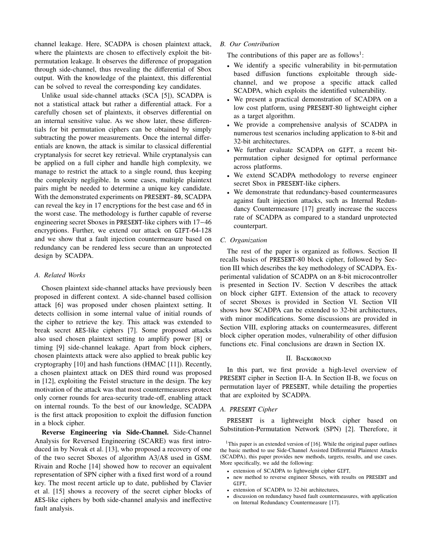channel leakage. Here, SCADPA is chosen plaintext attack, where the plaintexts are chosen to effectively exploit the bitpermutation leakage. It observes the difference of propagation through side-channel, thus revealing the differential of Sbox output. With the knowledge of the plaintext, this differential can be solved to reveal the corresponding key candidates.

Unlike usual side-channel attacks (SCA [5]), SCADPA is not a statistical attack but rather a differential attack. For a carefully chosen set of plaintexts, it observes differential on an internal sensitive value. As we show later, these differentials for bit permutation ciphers can be obtained by simply subtracting the power measurements. Once the internal differentials are known, the attack is similar to classical differential cryptanalysis for secret key retrieval. While cryptanalysis can be applied on a full cipher and handle high complexity, we manage to restrict the attack to a single round, thus keeping the complexity negligible. In some cases, multiple plaintext pairs might be needed to determine a unique key candidate. With the demonstrated experiments on PRESENT-80, SCADPA can reveal the key in 17 encryptions for the best case and 65 in the worst case. The methodology is further capable of reverse engineering secret Sboxes in PRESENT-like ciphers with 17−46 encryptions. Further, we extend our attack on GIFT-64-128 and we show that a fault injection countermeasure based on redundancy can be rendered less secure than an unprotected design by SCADPA.

#### *A. Related Works*

Chosen plaintext side-channel attacks have previously been proposed in different context. A side-channel based collision attack [6] was proposed under chosen plaintext setting. It detects collision in some internal value of initial rounds of the cipher to retrieve the key. This attack was extended to break secret AES-like ciphers [7]. Some proposed attacks also used chosen plaintext setting to amplify power [8] or timing [9] side-channel leakage. Apart from block ciphers, chosen plaintexts attack were also applied to break public key cryptography [10] and hash functions (HMAC [11]). Recently, a chosen plaintext attack on DES third round was proposed in [12], exploiting the Feistel structure in the design. The key motivation of the attack was that most countermeasures protect only corner rounds for area-security trade-off, enabling attack on internal rounds. To the best of our knowledge, SCADPA is the first attack proposition to exploit the diffusion function in a block cipher.

Reverse Engineering via Side-Channel. Side-Channel Analysis for Reversed Engineering (SCARE) was first introduced in by Novak et al. [13], who proposed a recovery of one of the two secret Sboxes of algorithm A3/A8 used in GSM. Rivain and Roche [14] showed how to recover an equivalent representation of SPN cipher with a fixed first word of a round key. The most recent article up to date, published by Clavier et al. [15] shows a recovery of the secret cipher blocks of AES-like ciphers by both side-channel analysis and ineffective fault analysis.

#### *B. Our Contribution*

The contributions of this paper are as follows<sup>1</sup>:

- We identify a specific vulnerability in bit-permutation based diffusion functions exploitable through sidechannel, and we propose a specific attack called SCADPA, which exploits the identified vulnerability.
- We present a practical demonstration of SCADPA on a low cost platform, using PRESENT-80 lightweight cipher as a target algorithm.
- We provide a comprehensive analysis of SCADPA in numerous test scenarios including application to 8-bit and 32-bit architectures.
- We further evaluate SCADPA on GIFT, a recent bitpermutation cipher designed for optimal performance across platforms.
- We extend SCADPA methodology to reverse engineer secret Sbox in PRESENT-like ciphers.
- We demonstrate that redundancy-based countermeasures against fault injection attacks, such as Internal Redundancy Countermeasure [17] greatly increase the success rate of SCADPA as compared to a standard unprotected counterpart.

# *C. Organization*

The rest of the paper is organized as follows. Section II recalls basics of PRESENT-80 block cipher, followed by Section III which describes the key methodology of SCADPA. Experimental validation of SCADPA on an 8-bit microcontroller is presented in Section IV. Section V describes the attack on block cipher GIFT. Extension of the attack to recovery of secret Sboxes is provided in Section VI. Section VII shows how SCADPA can be extended to 32-bit architectures, with minor modifications. Some discussions are provided in Section VIII, exploring attacks on countermeasures, different block cipher operation modes, vulnerability of other diffusion functions etc. Final conclusions are drawn in Section IX.

#### II. BACKGROUND

In this part, we first provide a high-level overview of PRESENT cipher in Section II-A. In Section II-B, we focus on permutation layer of PRESENT, while detailing the properties that are exploited by SCADPA.

#### *A.* PRESENT *Cipher*

PRESENT is a lightweight block cipher based on Substitution-Permutation Network (SPN) [2]. Therefore, it

- extension of SCADPA to lightweight cipher GIFT,
- new method to reverse engineer Sboxes, with results on PRESENT and GIFT,
- extension of SCADPA to 32-bit architectures,
- discussion on redundancy based fault countermeasures, with application on Internal Redundancy Countermeasure [17].

<sup>&</sup>lt;sup>1</sup>This paper is an extended version of  $[16]$ . While the original paper outlines the basic method to use Side-Channel Assisted Differential Plaintext Attacks (SCADPA), this paper provides new methods, targets, results, and use cases. More specifically, we add the following: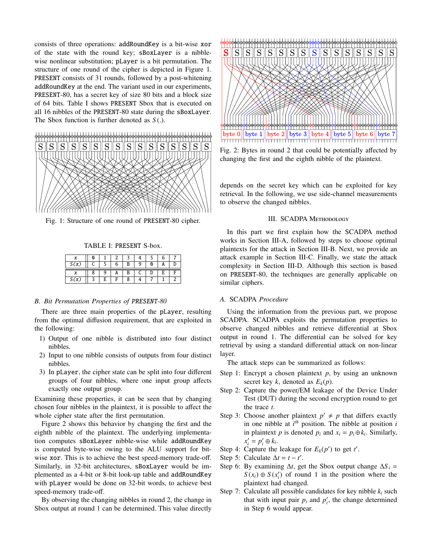consists of three operations: addRoundKey is a bit-wise xor of the state with the round key; sBoxLayer is a nibblewise nonlinear substitution; pLayer is a bit permutation. The structure of one round of the cipher is depicted in Figure 1. PRESENT consists of 31 rounds, followed by a post-whitening addRoundKey at the end. The variant used in our experiments, PRESENT-80, has a secret key of size 80 bits and a block size of 64 bits. Table I shows PRESENT Sbox that is executed on all 16 nibbles of the PRESENT-80 state during the sBoxLayer. The Sbox function is further denoted as *<sup>S</sup>* (.).



Fig. 1: Structure of one round of PRESENT-80 cipher.

#### TABLE I: PRESENT S-box.

| v |   |   |  |  |  |
|---|---|---|--|--|--|
|   |   |   |  |  |  |
|   | F | ᠷ |  |  |  |

#### *B. Bit Permutation Properties of* PRESENT*-80*

There are three main properties of the pLayer, resulting from the optimal diffusion requirement, that are exploited in the following:

- 1) Output of one nibble is distributed into four distinct nibbles.
- 2) Input to one nibble consists of outputs from four distinct nibbles.
- 3) In pLayer, the cipher state can be split into four different groups of four nibbles, where one input group affects exactly one output group.

Examining these properties, it can be seen that by changing chosen four nibbles in the plaintext, it is possible to affect the whole cipher state after the first permutation.

Figure 2 shows this behavior by changing the first and the eighth nibble of the plaintext. The underlying implementation computes sBoxLayer nibble-wise while addRoundKey is computed byte-wise owing to the ALU support for bitwise xor. This is to achieve the best speed-memory trade-off. Similarly, in 32-bit architectures, sBoxLayer would be implemented as a 4-bit or 8-bit look-up table and addRoundKey with pLayer would be done on 32-bit words, to achieve best speed-memory trade-off.

By observing the changing nibbles in round 2, the change in Sbox output at round 1 can be determined. This value directly



Fig. 2: Bytes in round 2 that could be potentially affected by changing the first and the eighth nibble of the plaintext.

depends on the secret key which can be exploited for key retrieval. In the following, we use side-channel measurements to observe the changed nibbles.

#### III. SCADPA Methodology

In this part we first explain how the SCADPA method works in Section III-A, followed by steps to choose optimal plaintexts for the attack in Section III-B. Next, we provide an attack example in Section III-C. Finally, we state the attack complexity in Section III-D. Although this section is based on PRESENT-80, the techniques are generally applicable on similar ciphers.

## *A.* SCADPA *Procedure*

Using the information from the previous part, we propose SCADPA. SCADPA exploits the permutation properties to observe changed nibbles and retrieve differential at Sbox output in round 1. The differential can be solved for key retrieval by using a standard differential attack on non-linear layer.

The attack steps can be summarized as follows:

- Step 1: Encrypt a chosen plaintext *p*, by using an unknown secret key *k*, denoted as  $E_k(p)$ .
- Step 2: Capture the power/EM leakage of the Device Under Test (DUT) during the second encryption round to get the trace *t*.
- Step 3: Choose another plaintext  $p' \neq p$  that differs exactly in one nibble at  $i<sup>th</sup>$  position. The nibble at position  $i$ in plaintext *p* is denoted  $p_i$  and  $x_i = p_i \oplus k_i$ . Similarly,  $x'_i = p'_i \oplus k_i.$
- Step 4: Capture the leakage for  $E_k(p')$  to get *t'*.
- Step 5: Calculate  $\Delta t = t t'$ .
- Step 6: By examining  $\Delta t$ , get the Sbox output change  $\Delta S_i$  =  $S(x_i) \oplus S(x'_i)$  of round 1 in the position where the plaintext had changed.
- Step 7: Calculate all possible candidates for key nibble  $k_i$  such that with input pair  $p_i$  and  $p'_i$ , the change determined in Step 6 would appear.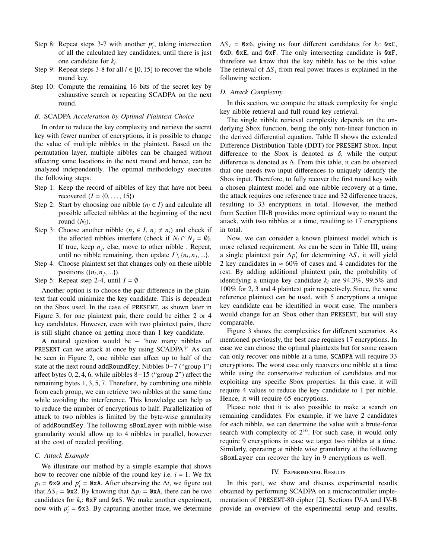- Step 8: Repeat steps 3-7 with another  $p'_i$ , taking intersection of all the calculated key candidates, until there is just one candidate for *k<sup>i</sup>* .
- Step 9: Repeat steps 3-8 for all  $i \in [0, 15]$  to recover the whole round key.
- Step 10: Compute the remaining 16 bits of the secret key by exhaustive search or repeating SCADPA on the next round.

## *B.* SCADPA *Acceleration by Optimal Plaintext Choice*

In order to reduce the key complexity and retrieve the secret key with fewer number of encryptions, it is possible to change the value of multiple nibbles in the plaintext. Based on the permutation layer, multiple nibbles can be changed without affecting same locations in the next round and hence, can be analyzed independently. The optimal methodology executes the following steps:

- Step 1: Keep the record of nibbles of key that have not been recovered  $(I = \{0, ..., 15\})$
- Step 2: Start by choosing one nibble  $(n_i \in I)$  and calculate all possible affected nibbles at the beginning of the next round  $(N_i)$ .
- Step 3: Choose another nibble  $(n_j \in I, n_j \neq n_i)$  and check if the affected nibbles interfere (check if  $N_i \cap N_j = \emptyset$ ). If true, keep  $n_j$ , else, move to other nibble. Repeat, until no nibble remaining, then update  $I \setminus \{n_i, n_j, ...\}$ .<br>Choose plaintext set that changes only on these nibble
- Step 4: Choose plaintext set that changes only on these nibble positions  $(\{n_i, n_j, ...\})$ .<br>Repeat step 2-4 until

Step 5: Repeat step 2-4, until  $I = \emptyset$ 

Another option is to choose the pair difference in the plaintext that could minimize the key candidate. This is dependent on the Sbox used. In the case of PRESENT, as shown later in Figure 3, for one plaintext pair, there could be either 2 or 4 key candidates. However, even with two plaintext pairs, there is still slight chance on getting more than 1 key candidate.

A natural question would be – 'how many nibbles of PRESENT can we attack at once by using SCADPA?' As can be seen in Figure 2, one nibble can affect up to half of the state at the next round addRoundKey. Nibbles 0−7 ("group 1") <sup>a</sup>ffect bytes 0, <sup>2</sup>, <sup>4</sup>, 6, while nibbles 8−15 ("group 2") affect the remaining bytes 1, <sup>3</sup>, <sup>5</sup>, 7. Therefore, by combining one nibble from each group, we can retrieve two nibbles at the same time while avoiding the interference. This knowledge can help us to reduce the number of encryptions to half. Parallelization of attack to two nibbles is limited by the byte-wise granularity of addRoundKey. The following sBoxLayer with nibble-wise granularity would allow up to 4 nibbles in parallel, however at the cost of needed profiling.

#### *C. Attack Example*

We illustrate our method by a simple example that shows how to recover one nibble of the round key i.e.  $i = 1$ . We fix  $p_i = 0 \times 0$  and  $p'_i = 0 \times A$ . After observing the  $\Delta t$ , we figure out that  $\Delta S$ <sup>*i*</sup> = 0x2. By knowing that  $\Delta p$ <sup>*i*</sup> = 0xA, there can be two candidates for  $k_i$ :  $\mathbf{0} \times \mathbf{F}$  and  $\mathbf{0} \times \mathbf{5}$ . We make another experiment, now with  $p'_i = 0 \times 3$ . By capturing another trace, we determine

 $\Delta S_i =$  0x6, giving us four different candidates for  $k_i$ : 0xC, 0xD, 0xE, and 0xF. The only intersecting candidate is 0xF, therefore we know that the key nibble has to be this value. The retrieval of  $\Delta S_i$  from real power traces is explained in the following section.

## *D. Attack Complexity*

In this section, we compute the attack complexity for single key nibble retrieval and full round key retrieval.

The single nibble retrieval complexity depends on the underlying Sbox function, being the only non-linear function in the derived differential equation. Table II shows the extended Difference Distribution Table (DDT) for PRESENT Sbox. Input difference to the Sbox is denoted as  $\delta$ , while the output difference is denoted as ∆. From this table, it can be observed that one needs two input differences to uniquely identify the Sbox input. Therefore, to fully recover the first round key with a chosen plaintext model and one nibble recovery at a time, the attack requires one reference trace and 32 difference traces, resulting to 33 encryptions in total. However, the method from Section III-B provides more optimized way to mount the attack, with two nibbles at a time, resulting to 17 encryptions in total.

Now, we can consider a known plaintext model which is more relaxed requirement. As can be seen in Table III, using a single plaintext pair  $\Delta p_i'$  for determining  $\Delta S$ , it will yield 2 key candidates in  $\approx 60\%$  of cases and 4 candidates for the rest. By adding additional plaintext pair, the probability of identifying a unique key candidate  $k_i$  are 94.3%, 99.5% and 100% for 2, 3 and 4 plaintext pair respectively. Since, the same reference plaintext can be used, with 5 encryptions a unique key candidate can be identified in worst case. The numbers would change for an Sbox other than PRESENT, but will stay comparable.

Figure 3 shows the complexities for different scenarios. As mentioned previously, the best case requires 17 encryptions. In case we can choose the optimal plaintexts but for some reason can only recover one nibble at a time, SCADPA will require 33 encryptions. The worst case only recovers one nibble at a time while using the conservative reduction of candidates and not exploiting any specific Sbox properties. In this case, it will require 4 values to reduce the key candidate to 1 per nibble. Hence, it will require 65 encryptions.

Please note that it is also possible to make a search on remaining candidates. For example, if we have 2 candidates for each nibble, we can determine the value with a brute-force search with complexity of  $2^{16}$ . For such case, it would only require 9 encryptions in case we target two nibbles at a time. Similarly, operating at nibble wise granularity at the following sBoxLayer can recover the key in 9 encryptions as well.

#### IV. Experimental Results

In this part, we show and discuss experimental results obtained by performing SCADPA on a microcontroller implementation of PRESENT-80 cipher [2]. Sections IV-A and IV-B provide an overview of the experimental setup and results,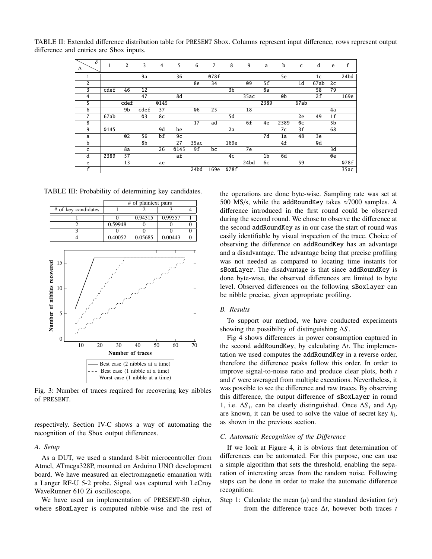| $\overline{\delta}$<br>Δ | 1    | 2               | 3    | $\overline{4}$  | 5              | 6    | 7    | 8    | 9    | a              | b    | C              | d              | e              | $\mathbf f$   |
|--------------------------|------|-----------------|------|-----------------|----------------|------|------|------|------|----------------|------|----------------|----------------|----------------|---------------|
|                          |      |                 | 9a   |                 | 36             |      | 078f |      |      |                | 5e   |                | 1 <sub>c</sub> |                | 24bd          |
| $\overline{c}$           |      |                 |      |                 |                | 8e   | 34   |      | 09   | 5f             |      | 1d             | 67ab           | 2c             |               |
| 3                        | cdef | 46              | 12   |                 |                |      |      | 3b   |      | 0a             |      |                | 58             | 79             |               |
| 4                        |      |                 | 47   |                 | 8d             |      |      |      | 35ac |                | 0b   |                | 2f             |                | 169e          |
| 5                        |      | cdef            |      | 0145            |                |      |      |      |      | 2389           |      | 67ab           |                |                |               |
| 6                        |      | 9b              | cdef | 37              |                | 06   | 25   |      | 18   |                |      |                |                | 4a             |               |
| 7                        | 67ab |                 | 03   | 8c              |                |      |      | 5d   |      |                |      | 2e             | 49             | 1 <sub>f</sub> |               |
| 8                        |      |                 |      |                 |                | 17   | ad   |      | 6f   | 4e             | 2389 | 0 <sup>c</sup> |                | 5b             |               |
| 9                        | 0145 |                 |      | 9d              | be             |      |      | 2a   |      |                | 7c   | 3f             |                | 68             |               |
| a                        |      | 02              | 56   | bf              | 9 <sub>c</sub> |      |      |      |      | 7d             | 1a   | 48             | 3e             |                |               |
| $\mathbf b$              |      |                 | 8b   |                 | 27             | 35ac |      | 169e |      |                | 4f   |                | 0d             |                |               |
| c                        |      | 8a              |      | $\overline{26}$ | 0145           | 9f   | bc   |      | 7e   |                |      |                |                | 3d             |               |
| d                        | 2389 | 57              |      |                 | af             |      |      | 4c   |      | 1 <sub>b</sub> | 6d   |                |                | 0e             |               |
| e                        |      | $\overline{13}$ |      | ae              |                |      |      |      | 24bd | 6c             |      | 59             |                |                | $\sqrt{078f}$ |
| $\overline{\mathbf{f}}$  |      |                 |      |                 |                | 24bd | 169e | 078f |      |                |      |                |                |                | 35ac          |

TABLE II: Extended difference distribution table for PRESENT Sbox. Columns represent input difference, rows represent output difference and entries are Sbox inputs.

TABLE III: Probability of determining key candidates.



Fig. 3: Number of traces required for recovering key nibbles of PRESENT.

respectively. Section IV-C shows a way of automating the recognition of the Sbox output differences.

#### *A. Setup*

As a DUT, we used a standard 8-bit microcontroller from Atmel, ATmega328P, mounted on Arduino UNO development board. We have measured an electromagnetic emanation with a Langer RF-U 5-2 probe. Signal was captured with LeCroy WaveRunner 610 Zi oscilloscope.

We have used an implementation of PRESENT-80 cipher, where sBoxLayer is computed nibble-wise and the rest of the operations are done byte-wise. Sampling rate was set at 500 MS/s, while the addRoundKey takes  $\approx$ 7000 samples. A difference introduced in the first round could be observed during the second round. We chose to observe the difference at the second addRoundKey as in our case the start of round was easily identifiable by visual inspection of the trace. Choice of observing the difference on addRoundKey has an advantage and a disadvantage. The advantage being that precise profiling was not needed as compared to locating time instants for sBoxLayer. The disadvantage is that since addRoundKey is done byte-wise, the observed differences are limited to byte level. Observed differences on the following sBoxlayer can be nibble precise, given appropriate profiling.

## *B. Results*

To support our method, we have conducted experiments showing the possibility of distinguishing ∆*S* .

Fig 4 shows differences in power consumption captured in the second addRoundKey, by calculating ∆*t*. The implementation we used computes the addRoundKey in a reverse order, therefore the difference peaks follow this order. In order to improve signal-to-noise ratio and produce clear plots, both *t* and *t'* were averaged from multiple executions. Nevertheless, it was possible to see the difference and raw traces. By observing this difference, the output difference of sBoxLayer in round 1, i.e.  $\Delta S_i$ , can be clearly distinguished. Once  $\Delta S_i$  and  $\Delta p_i$ are known, it can be used to solve the value of secret key *k<sup>i</sup>* , as shown in the previous section.

# *C. Automatic Recognition of the Di*ff*erence*

If we look at Figure 4, it is obvious that determination of differences can be automated. For this purpose, one can use a simple algorithm that sets the threshold, enabling the separation of interesting areas from the random noise. Following steps can be done in order to make the automatic difference recognition:

Step 1: Calculate the mean  $(\mu)$  and the standard deviation  $(\sigma)$ from the difference trace ∆*t*, however both traces *t*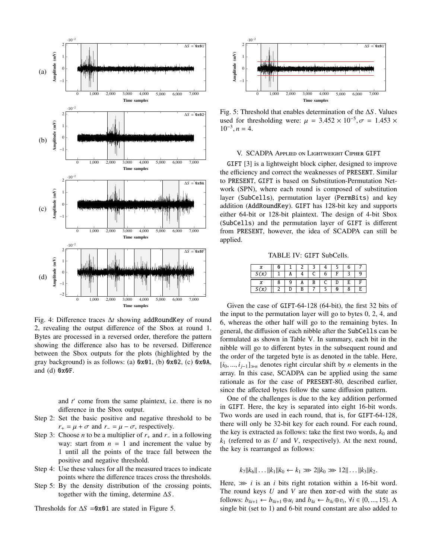

Fig. 4: Difference traces ∆*t* showing addRoundKey of round 2, revealing the output difference of the Sbox at round 1. Bytes are processed in a reversed order, therefore the pattern showing the difference also has to be reversed. Difference between the Sbox outputs for the plots (highlighted by the gray background) is as follows: (a)  $0x01$ , (b)  $0x02$ , (c)  $0x0A$ , and (d) 0x0F.

and *t* come from the same plaintext, i.e. there is no difference in the Sbox output.

- Step 2: Set the basic positive and negative threshold to be  $r_{+} = \mu + \sigma$  and  $r_{-} = \mu - \sigma$ , respectively.
- Step 3: Choose *n* to be a multiplier of  $r_+$  and  $r_-$  in a following way: start from  $n = 1$  and increment the value by 1 until all the points of the trace fall between the positive and negative threshold.
- Step 4: Use these values for all the measured traces to indicate points where the difference traces cross the thresholds.
- Step 5: By the density distribution of the crossing points, together with the timing, determine ∆*S* .

Thresholds for ∆*S* =0x01 are stated in Figure 5.



Fig. 5: Threshold that enables determination of the ∆*S* . Values used for thresholding were:  $\mu = 3.452 \times 10^{-5}$ ,  $\sigma = 1.453 \times 10^{-3}$   $n - 4$  $10^{-3}, n = 4.$ 

# V. SCADPA Applied on Lightweight Cipher GIFT

GIFT [3] is a lightweight block cipher, designed to improve the efficiency and correct the weaknesses of PRESENT. Similar to PRESENT, GIFT is based on Substitution-Permutation Network (SPN), where each round is composed of substitution layer (SubCells), permutation layer (PermBits) and key addition (AddRoundKey). GIFT has 128-bit key and supports either 64-bit or 128-bit plaintext. The design of 4-bit Sbox (SubCells) and the permutation layer of GIFT is different from PRESENT, however, the idea of SCADPA can still be applied.

TABLE IV: GIFT SubCells.

|      | N |  |  |  |  |
|------|---|--|--|--|--|
| S(x) |   |  |  |  |  |
|      |   |  |  |  |  |
|      |   |  |  |  |  |

Given the case of GIFT-64-128 (64-bit), the first 32 bits of the input to the permutation layer will go to bytes 0, 2, 4, and 6, whereas the other half will go to the remaining bytes. In general, the diffusion of each nibble after the SubCells can be formulated as shown in Table V. In summary, each bit in the nibble will go to different bytes in the subsequent round and the order of the targeted byte is as denoted in the table. Here, [*i*<sup>0</sup>, ..., *<sup>i</sup>j*−1]*<sup>n</sup>* denotes right circular shift by *<sup>n</sup>* elements in the array. In this case, SCADPA can be applied using the same rationale as for the case of PRESENT-80, described earlier, since the affected bytes follow the same diffusion pattern.

One of the challenges is due to the key addition performed in GIFT. Here, the key is separated into eight 16-bit words. Two words are used in each round, that is, for GIFT-64-128, there will only be 32-bit key for each round. For each round, the key is extracted as follows: take the first two words,  $k_0$  and *k*<sup>1</sup> (referred to as *U* and *V*, respectively). At the next round, the key is rearranged as follows:

 $k_7||k_6||\ldots||k_1||k_0 \leftarrow k_1 \gg 2||k_0 \gg 12||\ldots||k_3||k_2.$ 

Here,  $\gg$  *i* is an *i* bits right rotation within a 16-bit word. The round keys *U* and *V* are then xor-ed with the state as follows:  $b_{4i+1} \leftarrow b_{4i+1} \oplus u_i$  and  $b_{4i} \leftarrow b_{4i} \oplus v_i$ ,  $\forall i \in \{0, ..., 15\}$ . A single bit (set to 1) and 6-bit round constant are also added to single bit (set to 1) and 6-bit round constant are also added to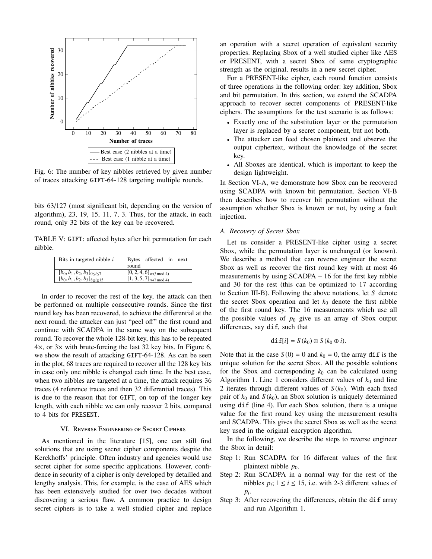

Fig. 6: The number of key nibbles retrieved by given number of traces attacking GIFT-64-128 targeting multiple rounds.

bits 63/127 (most significant bit, depending on the version of algorithm), 23, 19, 15, 11, 7, 3. Thus, for the attack, in each round, only 32 bits of the key can be recovered.

TABLE V: GIFT: affected bytes after bit permutation for each nibble.

| Bits in targeted nibble $i$                                                       | Bytes affected in next<br>round                                    |
|-----------------------------------------------------------------------------------|--------------------------------------------------------------------|
| $[b_0, b_1, b_2, b_3]_{0 \le i \le 7}$<br>$[b_0, b_1, b_2, b_3]_{8 \le i \le 15}$ | $[0, 2, 4, 6]_{\gg (i \mod 4)}$<br>$[1, 3, 5, 7]_{\gg (i \mod 4)}$ |
|                                                                                   |                                                                    |

In order to recover the rest of the key, the attack can then be performed on multiple consecutive rounds. Since the first round key has been recovered, to achieve the differential at the next round, the attacker can just "peel off" the first round and continue with SCADPA in the same way on the subsequent round. To recover the whole 128-bit key, this has to be repeated  $4\times$ , or  $3\times$  with brute-forcing the last 32 key bits. In Figure 6, we show the result of attacking GIFT-64-128. As can be seen in the plot, 68 traces are required to recover all the 128 key bits in case only one nibble is changed each time. In the best case, when two nibbles are targeted at a time, the attack requires 36 traces (4 reference traces and then 32 differential traces). This is due to the reason that for GIFT, on top of the longer key length, with each nibble we can only recover 2 bits, compared to 4 bits for PRESENT.

# VI. Reverse Engineering of Secret Ciphers

As mentioned in the literature [15], one can still find solutions that are using secret cipher components despite the Kerckhoffs' principle. Often industry and agencies would use secret cipher for some specific applications. However, confidence in security of a cipher is only developed by detailled and lengthy analysis. This, for example, is the case of AES which has been extensively studied for over two decades without discovering a serious flaw. A common practice to design secret ciphers is to take a well studied cipher and replace

an operation with a secret operation of equivalent security properties. Replacing Sbox of a well studied cipher like AES or PRESENT, with a secret Sbox of same cryptographic strength as the original, results in a new secret cipher.

For a PRESENT-like cipher, each round function consists of three operations in the following order: key addition, Sbox and bit permutation. In this section, we extend the SCADPA approach to recover secret components of PRESENT-like ciphers. The assumptions for the test scenario is as follows:

- Exactly one of the substitution layer or the permutation layer is replaced by a secret component, but not both.
- The attacker can feed chosen plaintext and observe the output ciphertext, without the knowledge of the secret key.
- All Sboxes are identical, which is important to keep the design lightweight.

In Section VI-A, we demonstrate how Sbox can be recovered using SCADPA with known bit permutation. Section VI-B then describes how to recover bit permutation without the assumption whether Sbox is known or not, by using a fault injection.

#### *A. Recovery of Secret Sbox*

Let us consider a PRESENT-like cipher using a secret Sbox, while the permutation layer is unchanged (or known). We describe a method that can reverse engineer the secret Sbox as well as recover the first round key with at most 46 measurements by using SCADPA – 16 for the first key nibble and 30 for the rest (this can be optimized to 17 according to Section III-B). Following the above notations, let *S* denote the secret Sbox operation and let  $k_0$  denote the first nibble of the first round key. The 16 measurements which use all the possible values of  $p_0$  give us an array of Sbox output differences, say dif, such that

$$
\mathbf{dif}[i] = S(k_0) \oplus S(k_0 \oplus i).
$$

Note that in the case  $S(0) = 0$  and  $k_0 = 0$ , the array dif is the unique solution for the secret Sbox. All the possible solutions for the Sbox and corresponding  $k_0$  can be calculated using Algorithm 1. Line 1 considers different values of  $k_0$  and line 2 iterates through different values of  $S(k_0)$ . With each fixed pair of  $k_0$  and  $S(k_0)$ , an Sbox solution is uniquely determined using dif (line 4). For each Sbox solution, there is a unique value for the first round key using the measurement results and SCADPA. This gives the secret Sbox as well as the secret key used in the original encryption algorithm.

In the following, we describe the steps to reverse engineer the Sbox in detail:

- Step 1: Run SCADPA for 16 different values of the first plaintext nibble  $p_0$ .
- Step 2: Run SCADPA in a normal way for the rest of the nibbles  $p_i$ ;  $1 \le i \le 15$ , i.e. with 2-3 different values of *pi* .
- Step 3: After recovering the differences, obtain the dif array and run Algorithm 1.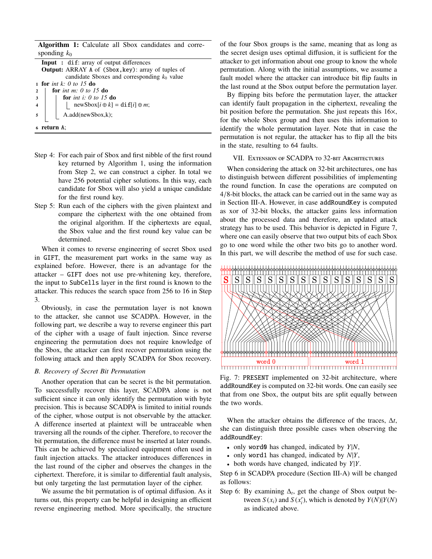Algorithm 1: Calculate all Sbox candidates and corresponding  $k_0$ Input : dif: array of output differences Output: ARRAY A of (Sbox,key): array of tuples of candidate Sboxes and corresponding  $k_0$  value <sup>1</sup> for *int k: 0 to 15* do <sup>2</sup> for *int m: 0 to 15* do <sup>3</sup> for *int i: 0 to 15* do 4 | |  $|\text{newSbox}[i \oplus k] = \text{diff}[i] \oplus m;$  $\mathfrak{g}$  | A.add(newSbox,k);

<sup>6</sup> return A;

- Step 4: For each pair of Sbox and first nibble of the first round key returned by Algorithm 1, using the information from Step 2, we can construct a cipher. In total we have 256 potential cipher solutions. In this way, each candidate for Sbox will also yield a unique candidate for the first round key.
- Step 5: Run each of the ciphers with the given plaintext and compare the ciphertext with the one obtained from the original algorithm. If the ciphertexts are equal, the Sbox value and the first round key value can be determined.

When it comes to reverse engineering of secret Sbox used in GIFT, the measurement part works in the same way as explained before. However, there is an advantage for the attacker – GIFT does not use pre-whitening key, therefore, the input to SubCells layer in the first round is known to the attacker. This reduces the search space from 256 to 16 in Step 3.

Obviously, in case the permutation layer is not known to the attacker, she cannot use SCADPA. However, in the following part, we describe a way to reverse engineer this part of the cipher with a usage of fault injection. Since reverse engineering the permutation does not require knowledge of the Sbox, the attacker can first recover permutation using the following attack and then apply SCADPA for Sbox recovery.

#### *B. Recovery of Secret Bit Permutation*

Another operation that can be secret is the bit permutation. To successfully recover this layer, SCADPA alone is not sufficient since it can only identify the permutation with byte precision. This is because SCADPA is limited to initial rounds of the cipher, whose output is not observable by the attacker. A difference inserted at plaintext will be untraceable when traversing all the rounds of the cipher. Therefore, to recover the bit permutation, the difference must be inserted at later rounds. This can be achieved by specialized equipment often used in fault injection attacks. The attacker introduces differences in the last round of the cipher and observes the changes in the ciphertext. Therefore, it is similar to differential fault analysis, but only targeting the last permutation layer of the cipher.

We assume the bit permutation is of optimal diffusion. As it turns out, this property can be helpful in designing an efficient reverse engineering method. More specifically, the structure of the four Sbox groups is the same, meaning that as long as the secret design uses optimal diffusion, it is sufficient for the attacker to get information about one group to know the whole permutation. Along with the initial assumptions, we assume a fault model where the attacker can introduce bit flip faults in the last round at the Sbox output before the permutation layer.

By flipping bits before the permutation layer, the attacker can identify fault propagation in the ciphertext, revealing the bit position before the permutation. She just repeats this 16×, for the whole Sbox group and then uses this information to identify the whole permutation layer. Note that in case the permutation is not regular, the attacker has to flip all the bits in the state, resulting to 64 faults.

## VII. Extension of SCADPA to 32-bit Architectures

When considering the attack on 32-bit architectures, one has to distinguish between different possibilities of implementing the round function. In case the operations are computed on <sup>4</sup>/8-bit blocks, the attack can be carried out in the same way as in Section III-A. However, in case addRoundKey is computed as xor of 32-bit blocks, the attacker gains less information about the processed data and therefore, an updated attack strategy has to be used. This behavior is depicted in Figure 7, where one can easily observe that two output bits of each Sbox go to one word while the other two bits go to another word. In this part, we will describe the method of use for such case.



Fig. 7: PRESENT implemented on 32-bit architecture, where addRoundKey is computed on 32-bit words. One can easily see that from one Sbox, the output bits are split equally between the two words.

When the attacker obtains the difference of the traces, ∆*t*, she can distinguish three possible cases when observing the addRoundKey:

- only word0 has changed, indicated by *Y*|*N*,
- only word1 has changed, indicated by *N*|*Y*,
- both words have changed, indicated by *Y*|*Y*.

Step 6 in SCADPA procedure (Section III-A) will be changed as follows:

Step 6: By examining  $\Delta_t$ , get the change of Sbox output between  $S(x_i)$  and  $S(x'_i)$ , which is denoted by  $Y(N)|Y(N)$ as indicated above.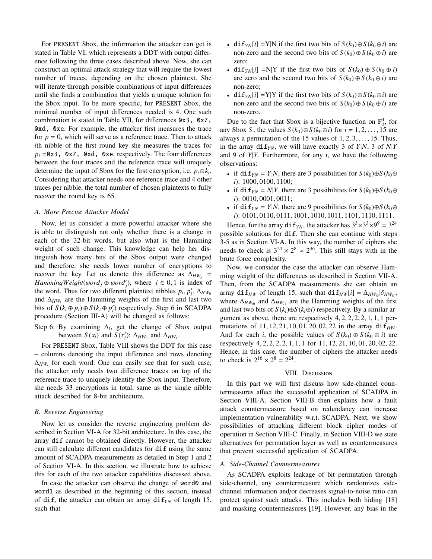For PRESENT Sbox, the information the attacker can get is stated in Table VI, which represents a DDT with output difference following the three cases described above. Now, she can construct an optimal attack strategy that will require the lowest number of traces, depending on the chosen plaintext. She will iterate through possible combinations of input differences until she finds a combination that yields a unique solution for the Sbox input. To be more specific, for PRESENT Sbox, the minimal number of input differences needed is 4. One such combination is stated in Table VII, for differences 0x3, 0x7, 0xd, 0xe. For example, the attacker first measures the trace for  $p = 0$ , which will serve as a reference trace. Then to attack *i*th nibble of the first round key she measures the traces for  $p_i = 0x3$ , 0x7, 0xd, 0xe, respectively. The four differences between the four traces and the reference trace will uniquely determine the input of Sbox for the first encryption, i.e.  $p_i \oplus k_i$ . Considering that attacker needs one reference trace and 4 other traces per nibble, the total number of chosen plaintexts to fully recover the round key is 65.

#### *A. More Precise Attacker Model*

Now, let us consider a more powerful attacker where she is able to distinguish not only whether there is a change in each of the 32-bit words, but also what is the Hamming weight of such change. This knowledge can help her distinguish how many bits of the Sbox output were changed and therefore, she needs lower number of encryptions to recover the key. Let us denote this difference as  $\Delta_{HW_i}$  = *HammingWeight*(*word*<sub>*j*</sub> ⊕ *word*<sup>*'*</sup><sub>*j*</sub>), where *j* ∈ 0, 1 is index of the word. Thus for two different plaintext nibbles *n*. *n'*. A..... the word. Thus for two different plaintext nibbles  $p_i$ ,  $p'_i$ ,  $\Delta_{HW_0}$ <br>and  $\Delta_{WW_0}$  are the Hamming weights of the first and last two and  $\Delta_{HW_1}$  are the Hamming weights of the first and last two bits of  $S$  ( $k_i \oplus p_i$ )  $\oplus S$  ( $k_i \oplus p'_i$ ) respectively. Step 6 in SCADPA procedure (Section III-A) will be changed as follows:

Step 6: By examining  $\Delta_t$ , get the change of Sbox output between *S*(*x<sub>i</sub>*) and *S*(*x<sub>i</sub>*):  $\Delta_{HW_0}$  and  $\Delta_{HW_1}$ .

For PRESENT Sbox, Table VIII shows the DDT for this case – columns denoting the input difference and rows denoting  $\Delta_{HW_i}$  for each word. One can easily see that for such case, the attacker only needs two difference traces on top of the reference trace to uniquely identify the Sbox input. Therefore, she needs 33 encryptions in total, same as the single nibble attack described for 8-bit architecture.

# *B. Reverse Engineering*

Now let us consider the reverse engineering problem described in Section VI-A for 32-bit architecture. In this case, the array dif cannot be obtained directly. However, the attacker can still calculate different candidates for dif using the same amount of SCADPA measurements as detailed in Step 1 and 2 of Section VI-A. In this section, we illustrate how to achieve this for each of the two attacker capabilities discussed above.

In case the attacker can observe the change of word0 and word1 as described in the beginning of this section, instead of dif, the attacker can obtain an array  $\text{diff}_{YN}$  of length 15, such that

- dif<sub>*YN*</sub>[*i*] =Y|N if the first two bits of  $S(k_0) \oplus S(k_0 \oplus i)$  are non-zero and the second two bits of  $S(k_0) \oplus S(k_0 \oplus i)$  are zero;
- dif<sub>*YN*</sub>[*i*] =N|Y if the first two bits of  $S(k_0) \oplus S(k_0 \oplus i)$ are zero and the second two bits of  $S(k_0) \oplus S(k_0 \oplus i)$  are non-zero;
- dif<sub>*YN*</sub>[*i*] =Y|Y if the first two bits of  $S(k_0) \oplus S(k_0 \oplus i)$  are non-zero and the second two bits of  $S(k_0) \oplus S(k_0 \oplus i)$  are non-zero.

Due to the fact that Sbox is a bijective function on  $\mathbb{F}_2^4$ , for any Sbox *S*, the values  $S(k_0) \oplus S(k_0 \oplus i)$  for  $i = 1, 2, ..., 15$  are always a permutation of the 15 values of  $1, 2, 3, \ldots, 15$ . Thus, in the array  $\text{diff}_{YN}$ , we will have exactly 3 of *Y*|*N*, 3 of *N*|*Y* and 9 of *Y*|*Y*. Furthermore, for any *i*, we have the following observations:

- if di $f_{YN} = Y|N$ , there are 3 possibilities for  $S(k_0) \oplus S(k_0 \oplus$ *<sup>i</sup>*): 1000, <sup>0100</sup>, 1100;
- if di $f_{YN} = N|Y$ , there are 3 possibilities for  $S(k_0) \oplus S(k_0 \oplus$ *<sup>i</sup>*): 0010, <sup>0001</sup>, 0011;
- if di $f_{\gamma N} = Y|N$ , there are 9 possibilities for  $S(k_0) \oplus S(k_0 \oplus$ *<sup>i</sup>*): 0101, <sup>0110</sup>, <sup>0111</sup>, <sup>1001</sup>, <sup>1010</sup>, <sup>1011</sup>, <sup>1101</sup>, <sup>1110</sup>, 1111.

Hence, for the array  $\text{di} f_{\gamma N}$ , the attacker has  $3^3 \times 3^3 \times 9^9 = 3^{24}$ possible solutions for dif. Then she can continue with steps 3-5 as in Section VI-A. In this way, the number of ciphers she needs to check is  $3^{24} \times 2^8 \approx 2^{46}$ . This still stays with in the brute force complexity.

Now, we consider the case the attacker can observe Hamming weight of the differences as described in Section VII-A. Then, from the SCADPA measurements she can obtain an array dif<sub>*HW*</sub> of length 15, such that  $\text{diff}_{HW}[i] = \Delta_{HW_{i0}} |\delta_{HW_{i1}}|$ , where  $\Delta_{WW}$  and  $\Delta_{WW}$  are the Hamming weights of the first where  $\Delta_{HW_{i0}}$  and  $\Delta_{HW_{i1}}$  are the Hamming weights of the first and last two bits of  $S(k_i) \oplus S(k_i \oplus i)$  respectively. By a similar argument as above, there are respectively  $4, 2, 2, 2, 2, 1, 1, 1$  permutations of  $11, 12, 21, 10, 01, 20, 02, 22$  in the array  $di f_{HW}$ . And for each *i*, the possible values of  $S(k_0) \oplus S(k_0 \oplus i)$  are respectively 4, <sup>2</sup>, <sup>2</sup>, <sup>2</sup>, <sup>2</sup>, <sup>1</sup>, <sup>1</sup>, 1 for 11, <sup>12</sup>, <sup>21</sup>, <sup>10</sup>, <sup>01</sup>, <sup>20</sup>, <sup>02</sup>, 22. Hence, in this case, the number of ciphers the attacker needs to check is  $2^{16} \times 2^8 = 2^{24}$ .

## VIII. Discussion

In this part we will first discuss how side-channel countermeasures affect the successful application of SCADPA in Section VIII-A. Section VIII-B then explains how a fault attack countermeasure based on redundancy can increase implementation vulnerability w.r.t. SCADPA. Next, we show possibilities of attacking different block cipher modes of operation in Section VIII-C. Finally, in Section VIII-D we state alternatives for permutation layer as well as countermeasures that prevent successful application of SCADPA.

## *A. Side-Channel Countermeasures*

As SCADPA exploits leakage of bit permutation through side-channel, any countermeasure which randomizes sidechannel information and/or decreases signal-to-noise ratio can protect against such attacks. This includes both hiding [18] and masking countermeasures [19]. However, any bias in the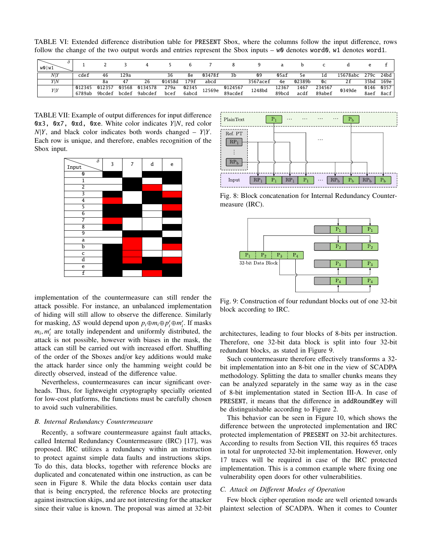TABLE VI: Extended difference distribution table for PRESENT Sbox, where the columns follow the input difference, rows follow the change of the two output words and entries represent the Sbox inputs –  $w0$  denotes word0, w1 denotes word1.

| 0<br>w0 w1     |        |        |       |         |        |       |        |         |          |       |        |        |          |      |      |
|----------------|--------|--------|-------|---------|--------|-------|--------|---------|----------|-------|--------|--------|----------|------|------|
| N <sub>Y</sub> | cdef   | 46     | 129a  |         | 36     | 8e    | 03478f | 3b      | 09       | 05af  | 5e     | Ιd     | 15678abc | 279c | 24bd |
| Y N            |        | 8a     | 47    | 26      | 01458d | 179f  | abcd   |         | 3567acef | 4e    | 02389b | Oс     | 2f       | 35bd | 169e |
| Y Y            | 012345 | 012357 | 03568 | 0134578 | 279a   | 02345 | 12569e | 0124567 | 1248bd   | 12367 | 1467   | 234567 | 0349de   | 0146 | 0357 |
|                | 6789ab | 9bcdef | bcdef | 9abcdef | bcef   | 6abcd |        | 89acdef |          | 89bcd | acdf   | 89abef |          | 8aef | 8acf |

TABLE VII: Example of output differences for input difference 0x3, 0x7, 0xd, 0xe. White color indicates *Y*|*N*, red color  $N|Y$ , and black color indicates both words changed –  $Y|Y$ . Each row is unique, and therefore, enables recognition of the Sbox input.





Fig. 8: Block concatenation for Internal Redundancy Countermeasure (IRC).



implementation of the countermeasure can still render the attack possible. For instance, an unbalanced implementation of hiding will still allow to observe the difference. Similarly for masking,  $\Delta S$  would depend upon  $p_i \oplus m_i \oplus p'_i \oplus m'_i$ . If masks  $m_i$ ,  $m'_i$  are totally independent and uniformly distributed, the article is not possible, however with biases in the mask the attack is not possible, however with biases in the mask, the attack can still be carried out with increased effort. Shuffling of the order of the Sboxes and/or key additions would make the attack harder since only the hamming weight could be directly observed, instead of the difference value.

Nevertheless, countermeasures can incur significant overheads. Thus, for lightweight cryptography specially oriented for low-cost platforms, the functions must be carefully chosen to avoid such vulnerabilities.

#### *B. Internal Redundancy Countermeasure*

Recently, a software countermeasure against fault attacks, called Internal Redundancy Countermeasure (IRC) [17], was proposed. IRC utilizes a redundancy within an instruction to protect against simple data faults and instructions skips. To do this, data blocks, together with reference blocks are duplicated and concatenated within one instruction, as can be seen in Figure 8. While the data blocks contain user data that is being encrypted, the reference blocks are protecting against instruction skips, and are not interesting for the attacker since their value is known. The proposal was aimed at 32-bit

Fig. 9: Construction of four redundant blocks out of one 32-bit block according to IRC.

architectures, leading to four blocks of 8-bits per instruction. Therefore, one 32-bit data block is split into four 32-bit redundant blocks, as stated in Figure 9.

Such countermeasure therefore effectively transforms a 32 bit implementation into an 8-bit one in the view of SCADPA methodology. Splitting the data to smaller chunks means they can be analyzed separately in the same way as in the case of 8-bit implementation stated in Section III-A. In case of PRESENT, it means that the difference in addRoundKey will be distinguishable according to Figure 2.

This behavior can be seen in Figure 10, which shows the difference between the unprotected implementation and IRC protected implementation of PRESENT on 32-bit architectures. According to results from Section VII, this requires 65 traces in total for unprotected 32-bit implementation. However, only 17 traces will be required in case of the IRC protected implementation. This is a common example where fixing one vulnerability open doors for other vulnerabilities.

# *C. Attack on Di*ff*erent Modes of Operation*

Few block cipher operation mode are well oriented towards plaintext selection of SCADPA. When it comes to Counter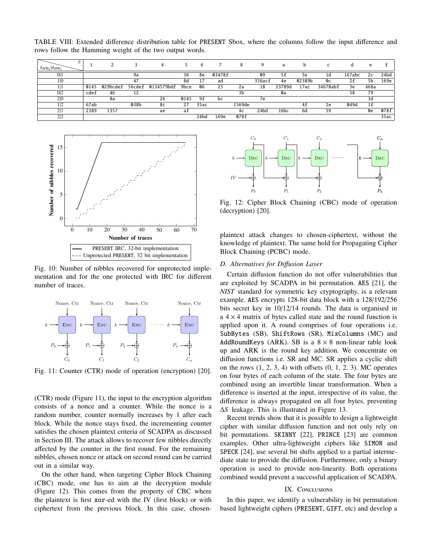TABLE VIII: Extended difference distribution table for PRESENT Sbox, where the columns follow the input difference and rows follow the Hamming weight of the two output words.

| $\delta_{HW_0} \delta_{HW_1}$ |      |          |        |            |      | 6    |        |        | q      | a      | b      | $\overline{\phantom{0}}$ |        | e    |      |
|-------------------------------|------|----------|--------|------------|------|------|--------|--------|--------|--------|--------|--------------------------|--------|------|------|
| 0 1                           |      |          | 9а     |            | 36   | 8e   | 03478f |        | 09     | 5f     | 5e     | 1d                       | 167abc | 2c   | 24bd |
| 1 0                           |      |          | 47     |            | 8d   |      | ad     |        | 356acf | 4e     | 02389b | Oс                       | 2f     | 5b   | 169e |
|                               | 0145 | 029bcdef | 56cdef | 0134579bdf | 9bce | 06   | 25     | 2a     | 18     | 23789d | 17ac   | 34678abf                 | 3e     | 468a |      |
| 0 <sup>2</sup>                | cdef | 46       | 12     |            |      |      |        | 3b     |        | 0a     |        |                          | 58     | 79   |      |
| 2 0                           |      | 8a       |        | 26         | 0145 | 9f   | bc     |        | 7e     |        |        |                          |        | 3d   |      |
| 1 2                           | 67ab |          | 038b   | 8c         | 27   | 35ac |        | 1569de |        |        | 4f     | 2e                       | 049d   | 1f   |      |
| 2 1                           | 2389 | 1357     |        | ae         | af   |      |        | 4c     | 24bd   | 16bc   | 6d     | 59                       |        | 0e   | 078f |
| 2 2                           |      |          |        |            |      | 24bd | 169e   | 078f   |        |        |        |                          |        |      | 35ac |



Fig. 10: Number of nibbles recovered for unprotected implementation and for the one protected with IRC for different number of traces.



Fig. 11: Counter (CTR) mode of operation (encryption) [20].

(CTR) mode (Figure 11), the input to the encryption algorithm consists of a nonce and a counter. While the nonce is a random number, counter normally increases by 1 after each block. While the nonce stays fixed, the incrementing counter satisfies the chosen plaintext criteria of SCADPA as discussed in Section III. The attack allows to recover few nibbles directly affected by the counter in the first round. For the remaining nibbles, chosen nonce or attack on second round can be carried out in a similar way.

On the other hand, when targeting Cipher Block Chaining (CBC) mode, one has to aim at the decryption module (Figure 12). This comes from the property of CBC where the plaintext is first xor-ed with the IV (first block) or with



Fig. 12: Cipher Block Chaining (CBC) mode of operation (decryption) [20].

plaintext attack changes to chosen-ciphertext, without the knowledge of plaintext. The same hold for Propagating Cipher Block Chaining (PCBC) mode.

# *D. Alternatives for Di*ff*usion Layer*

Certain diffusion function do not offer vulnerabilities that are exploited by SCADPA in bit permutation. AES [21], the *NIST* standard for symmetric key cryptography, is a relevant example. AES encrypts 128-bit data block with a 128/192/256 bits secret key in 10/12/14 rounds. The data is organised in a  $4 \times 4$  matrix of bytes called state and the round function is applied upon it. A round comprises of four operations i.e. SubBytes (SB), ShiftRows (SR), MixColumns (MC) and AddRoundKeys (ARK). SB is a  $8 \times 8$  non-linear table look up and ARK is the round key addition. We concentrate on diffusion functions i.e. SR and MC. SR applies a cyclic shift on the rows  $(1, 2, 3, 4)$  with offsets  $(0, 1, 2, 3)$ . MC operates on four bytes of each column of the state. The four bytes are combined using an invertible linear transformation. When a difference is inserted at the input, irrespective of its value, the difference is always propagated on all four bytes, preventing ∆*S* leakage. This is illustrated in Figure 13.

Recent trends show that it is possible to design a lightweight cipher with similar diffusion function and not only rely on bit permutations. SKINNY [22], PRINCE [23] are common examples. Other ultra-lightweight ciphers like SIMON and SPECK [24], use several bit shifts applied to a partial intermediate state to provide the diffusion. Furthermore, only a binary operation is used to provide non-linearity. Both operations combined would prevent a successful application of SCADPA.

## IX. CONCLUSIONS

In this paper, we identify a vulnerability in bit permutation based lightweight ciphers (PRESENT, GIFT, etc) and develop a